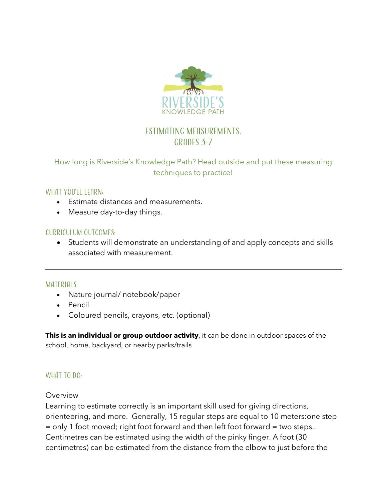

# Estimating measurements. GRADES 3-7

### How long is Riverside's Knowledge Path? Head outside and put these measuring techniques to practice!

### WHAT YOU'LL LEARN:

- Estimate distances and measurements.
- Measure day-to-day things.

### Curriculum Outcomes:

• Students will demonstrate an understanding of and apply concepts and skills associated with measurement.

#### **MATERIALS**

- Nature journal/ notebook/paper
- Pencil
- Coloured pencils, crayons, etc. (optional)

**This is an individual or group outdoor activity**, it can be done in outdoor spaces of the school, home, backyard, or nearby parks/trails

### WHAT TO DO:

### Overview

Learning to estimate correctly is an important skill used for giving directions, orienteering, and more. Generally, 15 regular steps are equal to 10 meters:one step = only 1 foot moved; right foot forward and then left foot forward = two steps.. Centimetres can be estimated using the width of the pinky finger. A foot (30 centimetres) can be estimated from the distance from the elbow to just before the